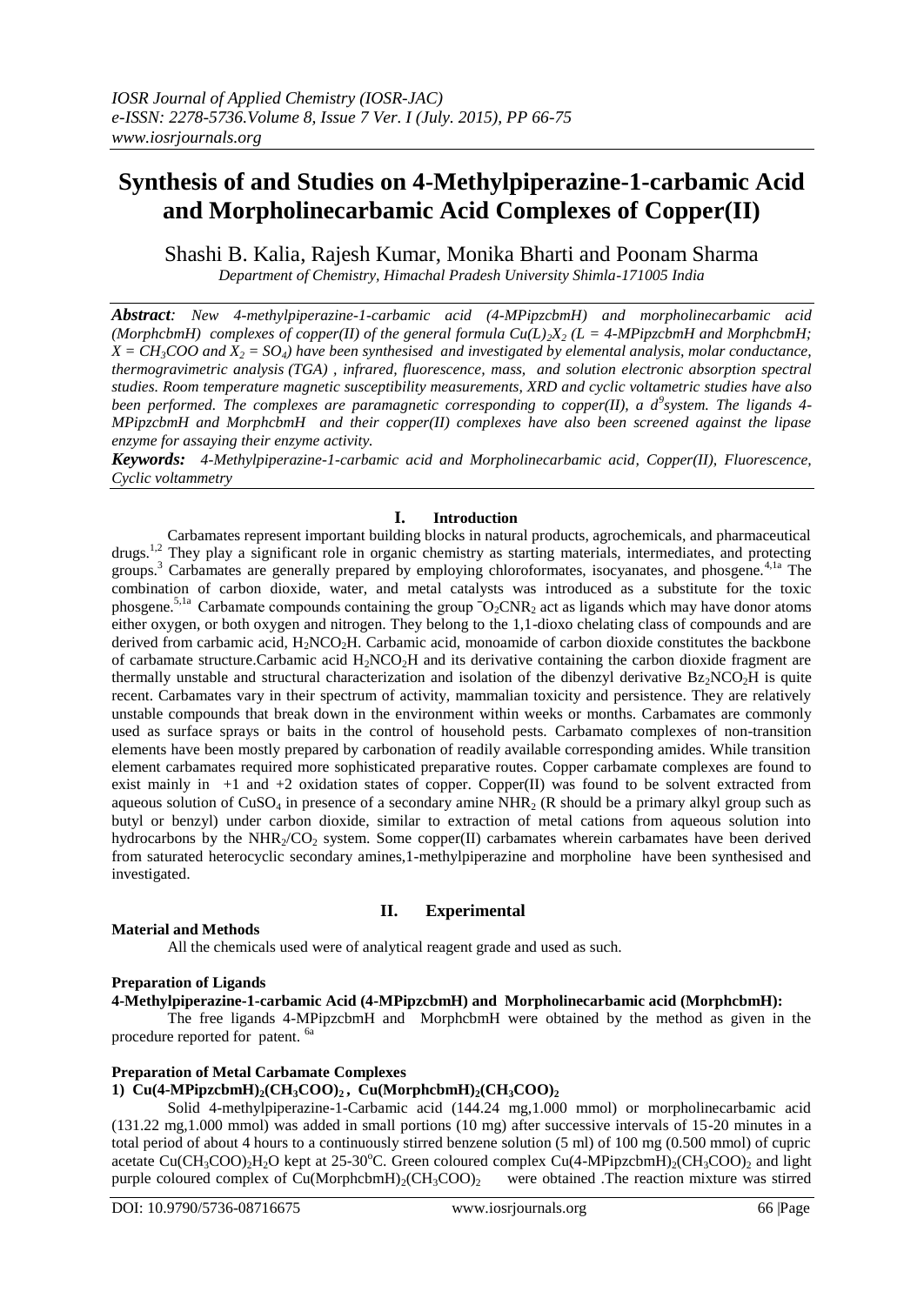# **Synthesis of and Studies on 4-Methylpiperazine-1-carbamic Acid and Morpholinecarbamic Acid Complexes of Copper(II)**

Shashi B. Kalia, Rajesh Kumar, Monika Bharti and Poonam Sharma *Department of Chemistry, Himachal Pradesh University Shimla-171005 India*

*Abstract: New 4-methylpiperazine-1-carbamic acid (4-MPipzcbmH) and morpholinecarbamic acid (MorphcbmH) complexes of copper(II) of the general formula*  $Cu(L)$ *<sup>2</sup>/<sub>2</sub><sup></sup>* $(L = 4$ *<sup><i>-MPipzcbmH and MorphcbmH*;</sup>  $X = CH_3COO$  and  $\hat{X}_2 = SO_4$ *) have been synthesised and investigated by elemental analysis, molar conductance, thermogravimetric analysis (TGA) , infrared, fluorescence, mass, and solution electronic absorption spectral studies. Room temperature magnetic susceptibility measurements, XRD and cyclic voltametric studies have also been performed. The complexes are paramagnetic corresponding to copper(II), a d<sup>9</sup> system. The ligands 4- MPipzcbmH and MorphcbmH and their copper(II) complexes have also been screened against the lipase enzyme for assaying their enzyme activity.* 

*Keywords: 4-Methylpiperazine-1-carbamic acid and Morpholinecarbamic acid, Copper(II), Fluorescence, Cyclic voltammetry*

## **I. Introduction**

Carbamates represent important building blocks in natural products, agrochemicals, and pharmaceutical drugs.<sup>1,2</sup> They play a significant role in organic chemistry as starting materials, intermediates, and protecting groups.<sup>3</sup> Carbamates are generally prepared by employing chloroformates, isocyanates, and phosgene.4,1a The combination of carbon dioxide, water, and metal catalysts was introduced as a substitute for the toxic phosgene.<sup>5,1a</sup> Carbamate compounds containing the group  $\overline{O_2CNR_2}$  act as ligands which may have donor atoms either oxygen, or both oxygen and nitrogen. They belong to the 1,1-dioxo chelating class of compounds and are derived from carbamic acid, H<sub>2</sub>NCO<sub>2</sub>H. Carbamic acid, monoamide of carbon dioxide constitutes the backbone of carbamate structure.Carbamic acid  $H_2NCO<sub>2</sub>H$  and its derivative containing the carbon dioxide fragment are thermally unstable and structural characterization and isolation of the dibenzyl derivative  $Bz_2NCO<sub>2</sub>H$  is quite recent. Carbamates vary in their spectrum of activity, mammalian toxicity and persistence. They are relatively unstable compounds that break down in the environment within weeks or months. Carbamates are commonly used as surface sprays or baits in the control of household pests. Carbamato complexes of non-transition elements have been mostly prepared by carbonation of readily available corresponding amides. While transition element carbamates required more sophisticated preparative routes. Copper carbamate complexes are found to exist mainly in  $+1$  and  $+2$  oxidation states of copper. Copper(II) was found to be solvent extracted from aqueous solution of  $CuSO_4$  in presence of a secondary amine NHR<sub>2</sub> (R should be a primary alkyl group such as butyl or benzyl) under carbon dioxide, similar to extraction of metal cations from aqueous solution into hydrocarbons by the NHR<sub>2</sub>/CO<sub>2</sub> system. Some copper(II) carbamates wherein carbamates have been derived from saturated heterocyclic secondary amines,1-methylpiperazine and morpholine have been synthesised and investigated.

### **Material and Methods**

# **II. Experimental**

All the chemicals used were of analytical reagent grade and used as such.

### **Preparation of Ligands**

**4-Methylpiperazine-1-carbamic Acid (4-MPipzcbmH) and Morpholinecarbamic acid (MorphcbmH):**

The free ligands 4-MPipzcbmH and MorphcbmH were obtained by the method as given in the procedure reported for patent.  $6$ 

### **Preparation of Metal Carbamate Complexes**

## **1) Cu(4-MPipzcbmH)2(CH3COO)2 , Cu(MorphcbmH)2(CH3COO)<sup>2</sup>**

Solid 4-methylpiperazine-1-Carbamic acid (144.24 mg,1.000 mmol) or morpholinecarbamic acid (131.22 mg,1.000 mmol) was added in small portions (10 mg) after successive intervals of 15-20 minutes in a total period of about 4 hours to a continuously stirred benzene solution (5 ml) of 100 mg (0.500 mmol) of cupric acetate Cu(CH<sub>3</sub>COO)<sub>2</sub>H<sub>2</sub>O kept at 25-30<sup>o</sup>C. Green coloured complex Cu(4-MPipzcbmH)<sub>2</sub>(CH<sub>3</sub>COO)<sub>2</sub> and light purple coloured complex of Cu(MorphcbmH)<sub>2</sub>(CH<sub>3</sub>COO)<sub>2</sub> were obtained .The reaction mixture was stirred purple coloured complex of  $Cu(MorphcbmH)_{2}(CH_{3}COO)_{2}$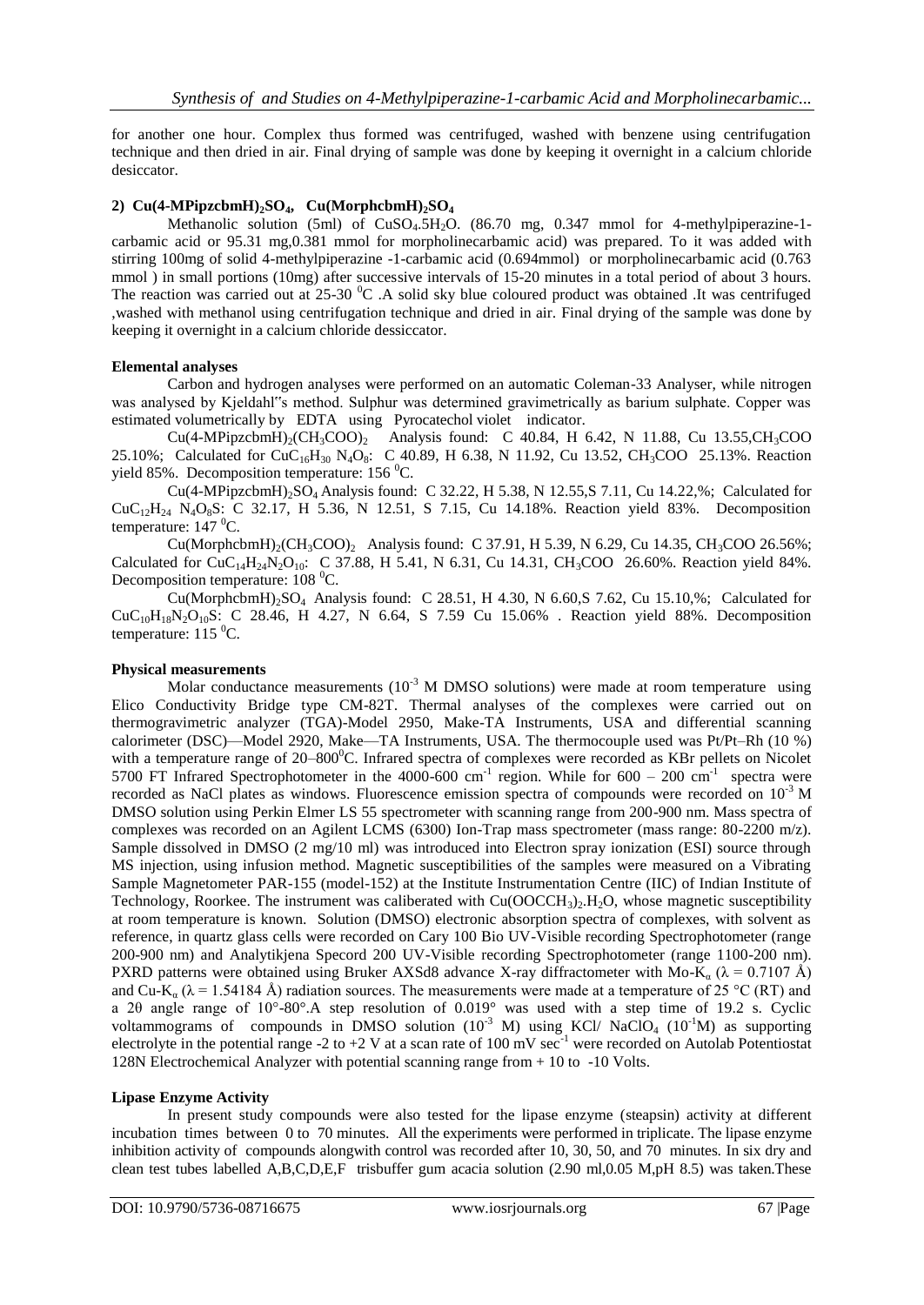for another one hour. Complex thus formed was centrifuged, washed with benzene using centrifugation technique and then dried in air. Final drying of sample was done by keeping it overnight in a calcium chloride desiccator.

# 2)  $Cu(4-MPipzcbmH)<sub>2</sub>SO<sub>4</sub>$ ,  $Cu(MorphcbmH)<sub>2</sub>SO<sub>4</sub>$

Methanolic solution (5ml) of CuSO<sub>4</sub>.5H<sub>2</sub>O. (86.70 mg, 0.347 mmol for 4-methylpiperazine-1carbamic acid or 95.31 mg,0.381 mmol for morpholinecarbamic acid) was prepared. To it was added with stirring 100mg of solid 4-methylpiperazine -1-carbamic acid (0.694mmol) or morpholinecarbamic acid (0.763 mmol ) in small portions (10mg) after successive intervals of 15-20 minutes in a total period of about 3 hours. The reaction was carried out at  $25{\text -}30^{\degree}$ C . A solid sky blue coloured product was obtained .It was centrifuged ,washed with methanol using centrifugation technique and dried in air. Final drying of the sample was done by keeping it overnight in a calcium chloride dessiccator.

# **Elemental analyses**

Carbon and hydrogen analyses were performed on an automatic Coleman-33 Analyser, while nitrogen was analysed by Kjeldahl"s method. Sulphur was determined gravimetrically as barium sulphate. Copper was estimated volumetrically by EDTA using Pyrocatechol violet indicator.

Cu(4-MPipzcbmH)2(CH3COO)<sup>2</sup>Analysis found: C 40.84, H 6.42, N 11.88, Cu 13.55,CH3COO 25.10%; Calculated for  $CuC_{16}H_{30} N_4O_8$ : C 40.89, H 6.38, N 11.92, Cu 13.52, CH<sub>3</sub>COO 25.13%. Reaction yield 85%. Decomposition temperature:  $156 \degree C$ .

 $Cu(4-MPipzcbmH)_{2}SO<sub>4</sub>$  Analysis found: C 32.22, H 5.38, N 12.55, S 7.11, Cu 14.22,%; Calculated for  $CuC_{12}H_{24}$  N<sub>4</sub>O<sub>8</sub>S: C 32.17, H 5.36, N 12.51, S 7.15, Cu 14.18%. Reaction yield 83%. Decomposition temperature: 147 <sup>0</sup>C.

Cu(MorphcbmH)<sub>2</sub>(CH<sub>3</sub>COO)<sub>2</sub> Analysis found: C 37.91, H 5.39, N 6.29, Cu 14.35, CH<sub>3</sub>COO 26.56%; Calculated for CuC<sub>14</sub>H<sub>24</sub>N<sub>2</sub>O<sub>10</sub>: C 37.88, H 5.41, N 6.31, Cu 14.31, CH<sub>3</sub>COO 26.60%. Reaction yield 84%. Decomposition temperature:  $108\text{ °C}$ .

Cu(MorphcbmH)2SO<sup>4</sup>Analysis found: C 28.51, H 4.30, N 6.60,S 7.62, Cu 15.10,%; Calculated for  $CuC_{10}H_{18}N_2O_{10}S$ : C 28.46, H 4.27, N 6.64, S 7.59 Cu 15.06% . Reaction yield 88%. Decomposition temperature: 115 <sup>0</sup>C.

## **Physical measurements**

Molar conductance measurements  $(10^{-3}$  M DMSO solutions) were made at room temperature using Elico Conductivity Bridge type CM-82T. Thermal analyses of the complexes were carried out on thermogravimetric analyzer (TGA)-Model 2950, Make-TA Instruments, USA and differential scanning calorimeter (DSC)—Model 2920, Make—TA Instruments, USA. The thermocouple used was Pt/Pt–Rh (10 %) with a temperature range of 20–800°C. Infrared spectra of complexes were recorded as KBr pellets on Nicolet 5700 FT Infrared Spectrophotometer in the  $4000-600$  cm<sup>-1</sup> region. While for  $600 - 200$  cm<sup>-1</sup> spectra were recorded as NaCl plates as windows. Fluorescence emission spectra of compounds were recorded on 10<sup>-3</sup> M DMSO solution using Perkin Elmer LS 55 spectrometer with scanning range from 200-900 nm. Mass spectra of complexes was recorded on an Agilent LCMS (6300) Ion-Trap mass spectrometer (mass range: 80-2200 m/z). Sample dissolved in DMSO (2 mg/10 ml) was introduced into Electron spray ionization (ESI) source through MS injection, using infusion method. Magnetic susceptibilities of the samples were measured on a Vibrating Sample Magnetometer PAR-155 (model-152) at the Institute Instrumentation Centre (IIC) of Indian Institute of Technology, Roorkee. The instrument was caliberated with  $Cu(OOCCH<sub>3</sub>)<sub>2</sub>$ .H<sub>2</sub>O, whose magnetic susceptibility at room temperature is known. Solution (DMSO) electronic absorption spectra of complexes, with solvent as reference, in quartz glass cells were recorded on Cary 100 Bio UV-Visible recording Spectrophotometer (range 200-900 nm) and Analytikjena Specord 200 UV-Visible recording Spectrophotometer (range 1100-200 nm). PXRD patterns were obtained using Bruker AXSd8 advance X-ray diffractometer with Mo-K<sub>a</sub> ( $\lambda$  = 0.7107 Å) and Cu-K<sub>a</sub> ( $\lambda$  = 1.54184 Å) radiation sources. The measurements were made at a temperature of 25 °C (RT) and a 2θ angle range of 10°-80°.A step resolution of 0.019° was used with a step time of 19.2 s. Cyclic voltammograms of compounds in DMSO solution  $(10^{-3}$  M) using KCl/ NaClO<sub>4</sub>  $(10^{-1}$ M) as supporting electrolyte in the potential range  $-2$  to  $+2$  V at a scan rate of 100 mV sec $^{-1}$  were recorded on Autolab Potentiostat 128N Electrochemical Analyzer with potential scanning range from + 10 to -10 Volts.

# **Lipase Enzyme Activity**

In present study compounds were also tested for the lipase enzyme (steapsin) activity at different incubation times between 0 to 70 minutes. All the experiments were performed in triplicate. The lipase enzyme inhibition activity of compounds alongwith control was recorded after 10, 30, 50, and 70 minutes. In six dry and clean test tubes labelled A,B,C,D,E,F trisbuffer gum acacia solution (2.90 ml,0.05 M,pH 8.5) was taken.These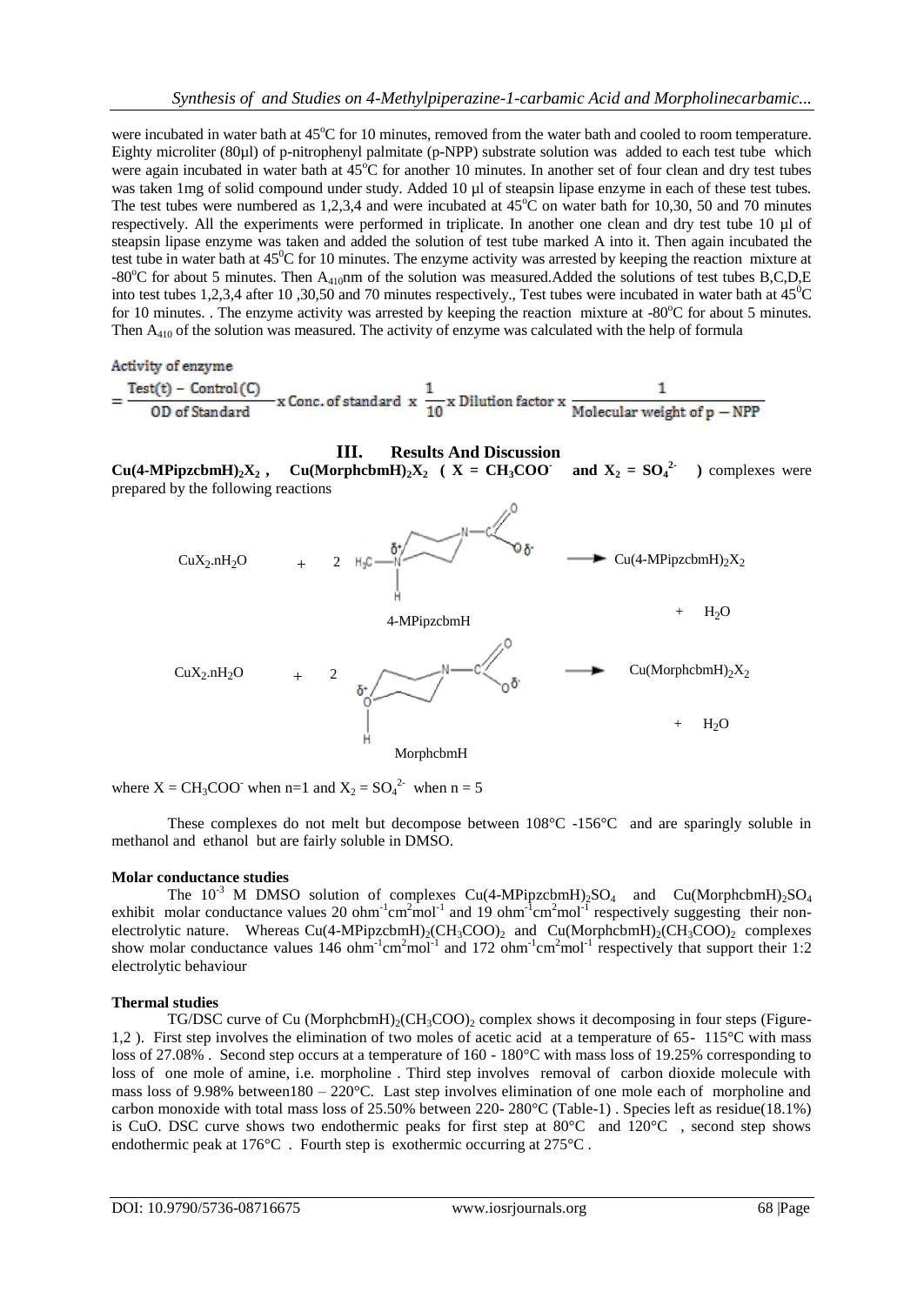were incubated in water bath at 45<sup>o</sup>C for 10 minutes, removed from the water bath and cooled to room temperature. Eighty microliter (80µl) of p-nitrophenyl palmitate (p-NPP) substrate solution was added to each test tube which were again incubated in water bath at  $45^{\circ}$ C for another 10 minutes. In another set of four clean and dry test tubes was taken 1mg of solid compound under study. Added 10 µl of steapsin lipase enzyme in each of these test tubes. The test tubes were numbered as 1,2,3,4 and were incubated at  $45^{\circ}$ C on water bath for 10,30, 50 and 70 minutes respectively. All the experiments were performed in triplicate. In another one clean and dry test tube 10 µl of steapsin lipase enzyme was taken and added the solution of test tube marked A into it. Then again incubated the test tube in water bath at 45<sup>0</sup>C for 10 minutes. The enzyme activity was arrested by keeping the reaction mixture at -80<sup>o</sup>C for about 5 minutes. Then A<sub>410</sub>nm of the solution was measured.Added the solutions of test tubes B,C,D,E into test tubes 1,2,3,4 after 10,30,50 and 70 minutes respectively., Test tubes were incubated in water bath at  $45^{\circ}$ C for 10 minutes. . The enzyme activity was arrested by keeping the reaction mixture at  $-80^{\circ}$ C for about 5 minutes. Then  $A_{410}$  of the solution was measured. The activity of enzyme was calculated with the help of formula

#### Activity of enzyme

 $\frac{Test(t) - Control(C)}{OD of Standard} \times Conc.$  of standard x  $\frac{1}{10}$  x Dilution factor x  $\frac{1}{Molecular weight of p - NPP}$ 

#### **III. Results And Discussion**

 $Cu(4-MPipzchmH)$ <sub>2</sub> $X_2$ ,  $Cu(MorphchmH)$ <sub>2</sub> $X_2$  ( $X = CH_3COO^2$ **and**  $X_2 = SO_4^2$  ) complexes were prepared by the following reactions



where  $X = CH_3COO^-$  when n=1 and  $X_2 = SO_4^{2-}$  when n = 5

These complexes do not melt but decompose between  $108^{\circ}$ C -156 $^{\circ}$ C and are sparingly soluble in methanol and ethanol but are fairly soluble in DMSO.

### **Molar conductance studies**

The  $10^{-3}$  M DMSO solution of complexes Cu(4-MPipzcbmH)<sub>2</sub>SO<sub>4</sub> and Cu(MorphcbmH)<sub>2</sub>SO<sub>4</sub> exhibit molar conductance values 20 ohm<sup>-1</sup>cm<sup>2</sup>mol<sup>-1</sup> and 19 ohm<sup>-1</sup>cm<sup>2</sup>mol<sup>-1</sup> respectively suggesting their nonelectrolytic nature. Whereas  $Cu(4-MPipzcbmH)<sub>2</sub>(CH<sub>3</sub>COO)<sub>2</sub>$  and  $Cu(MorphcbmH)<sub>2</sub>(CH<sub>3</sub>COO)<sub>2</sub>$  complexes show molar conductance values 146 ohm<sup>-1</sup>cm<sup>2</sup>mol<sup>-1</sup> and 172 ohm<sup>-1</sup>cm<sup>2</sup>mol<sup>-1</sup> respectively that support their 1:2 electrolytic behaviour

### **Thermal studies**

TG/DSC curve of Cu (MorphcbmH)<sub>2</sub>(CH<sub>3</sub>COO)<sub>2</sub> complex shows it decomposing in four steps (Figure-1,2 ). First step involves the elimination of two moles of acetic acid at a temperature of 65- 115°C with mass loss of 27.08% . Second step occurs at a temperature of 160 - 180°C with mass loss of 19.25% corresponding to loss of one mole of amine, i.e. morpholine . Third step involves removal of carbon dioxide molecule with mass loss of 9.98% between180 – 220 $^{\circ}$ C. Last step involves elimination of one mole each of morpholine and carbon monoxide with total mass loss of 25.50% between 220- 280°C (Table-1) . Species left as residue(18.1%) is CuO. DSC curve shows two endothermic peaks for first step at 80°C and 120°C , second step shows endothermic peak at 176°C . Fourth step is exothermic occurring at 275°C .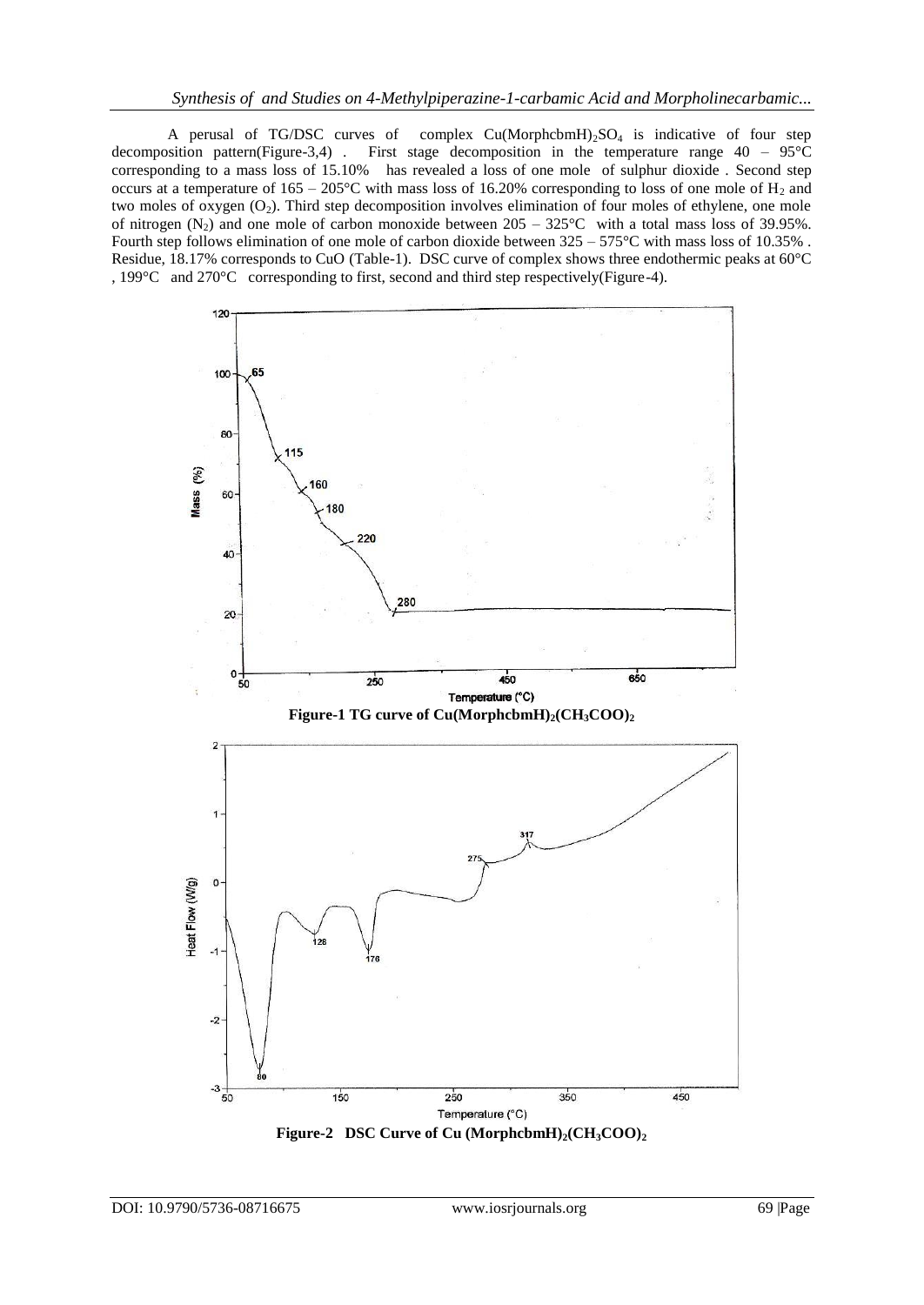A perusal of TG/DSC curves of complex  $Cu(MorphcbmH)_{2}SO_{4}$  is indicative of four step decomposition pattern(Figure-3,4). First stage decomposition in the temperature range  $40 - 95^{\circ}$ C corresponding to a mass loss of 15.10% has revealed a loss of one mole of sulphur dioxide . Second step occurs at a temperature of  $165 - 205^{\circ}$ C with mass loss of 16.20% corresponding to loss of one mole of H<sub>2</sub> and two moles of oxygen (O<sub>2</sub>). Third step decomposition involves elimination of four moles of ethylene, one mole of nitrogen  $(N_2)$  and one mole of carbon monoxide between  $205 - 325^{\circ}C$  with a total mass loss of 39.95%. Fourth step follows elimination of one mole of carbon dioxide between 325 – 575°C with mass loss of 10.35% . Residue, 18.17% corresponds to CuO (Table-1). DSC curve of complex shows three endothermic peaks at 60°C , 199°C and 270°C corresponding to first, second and third step respectively(Figure-4).



**Figure-2 DSC Curve of Cu (MorphcbmH)2(CH3COO)2**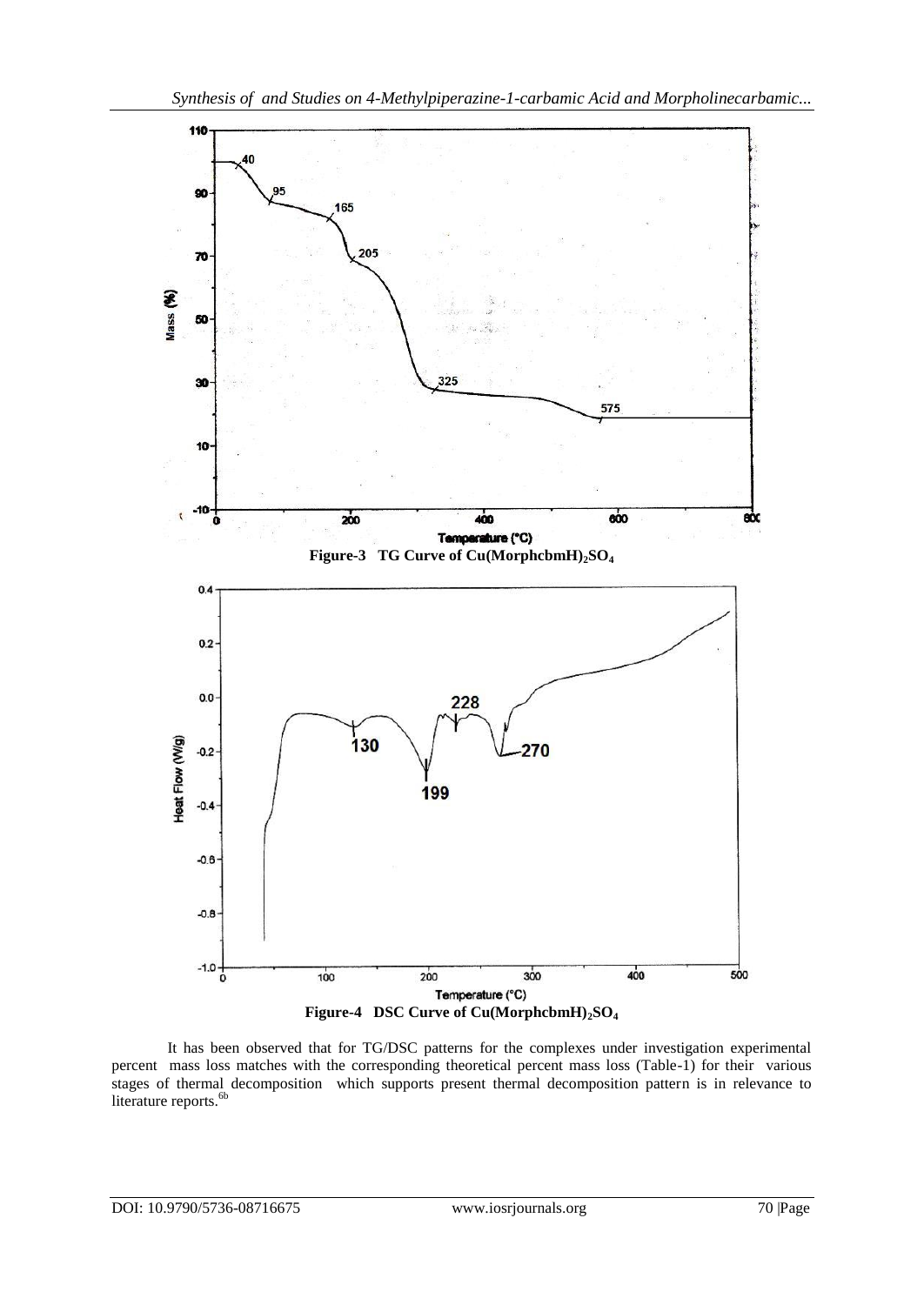

It has been observed that for TG/DSC patterns for the complexes under investigation experimental percent mass loss matches with the corresponding theoretical percent mass loss (Table-1) for their various stages of thermal decomposition which supports present thermal decomposition pattern is in relevance to literature reports.<sup>6b</sup>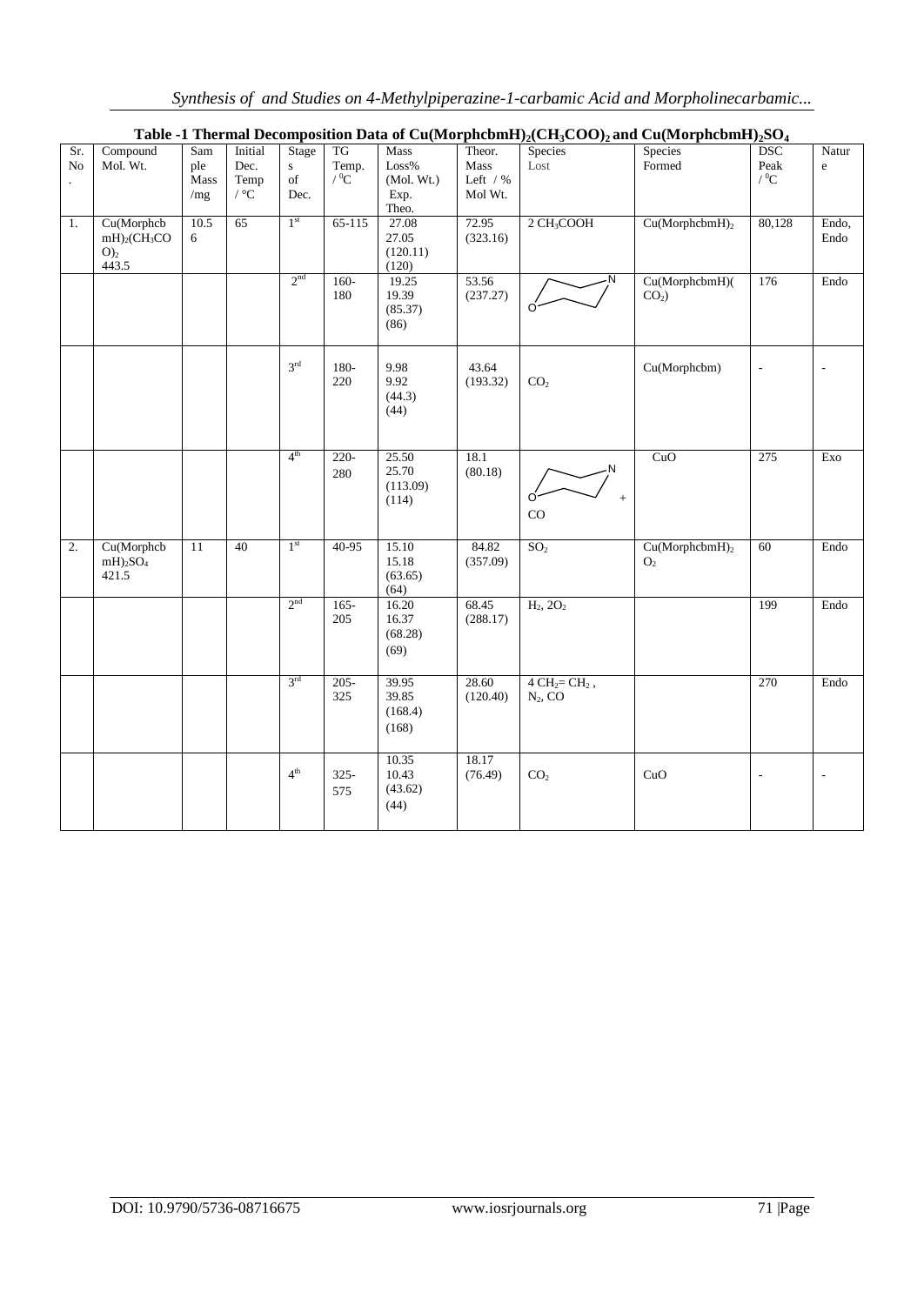|  |  |  |  |  | Synthesis of and Studies on 4-Methylpiperazine-1-carbamic Acid and Morpholinecarbamic |  |
|--|--|--|--|--|---------------------------------------------------------------------------------------|--|
|  |  |  |  |  |                                                                                       |  |
|  |  |  |  |  |                                                                                       |  |
|  |  |  |  |  |                                                                                       |  |

|                     | Table -1 Thermal Decomposition Data of Cu(MorphcbmH) <sub>2</sub> (CH <sub>3</sub> COO) <sub>2</sub> and Cu(MorphcbmH) <sub>2</sub> SO <sub>4</sub> |                           |                                                |                                  |                            |                                              |                                         |                              |                                              |                                     |                           |
|---------------------|-----------------------------------------------------------------------------------------------------------------------------------------------------|---------------------------|------------------------------------------------|----------------------------------|----------------------------|----------------------------------------------|-----------------------------------------|------------------------------|----------------------------------------------|-------------------------------------|---------------------------|
| Sr.<br>No<br>$\Box$ | Compound<br>Mol. Wt.                                                                                                                                | Sam<br>ple<br>Mass<br>/mg | Initial<br>Dec.<br>Temp<br>/ $^{\circ}{\rm C}$ | Stage<br>${\bf S}$<br>of<br>Dec. | TG<br>Temp.<br>$/ {}^{0}C$ | Mass<br>Loss%<br>(Mol. Wt.)<br>Exp.<br>Theo. | Theor.<br>Mass<br>Left $/$ %<br>Mol Wt. | Species<br>Lost              | Species<br>Formed                            | <b>DSC</b><br>Peak<br>$/ \ ^0\rm C$ | Natur<br>$\mathbf{e}$     |
| 1.                  | Cu(Morphcb<br>$mH$ <sub>2</sub> (CH <sub>3</sub> CO<br>$O)_2$<br>443.5                                                                              | 10.5<br>6                 | 65                                             | $1^{\rm st}$                     | $65-115$                   | 27.08<br>27.05<br>(120.11)<br>(120)          | 72.95<br>(323.16)                       | 2 CH <sub>3</sub> COOH       | Cu(MorphcbmH) <sub>2</sub>                   | 80,128                              | Endo,<br>Endo             |
|                     |                                                                                                                                                     |                           |                                                | 2 <sup>nd</sup>                  | $160 -$<br>180             | 19.25<br>19.39<br>(85.37)<br>(86)            | 53.56<br>(237.27)                       |                              | Cu(MorphcbmH)(<br>$CO2$ )                    | 176                                 | Endo                      |
|                     |                                                                                                                                                     |                           |                                                | 3 <sup>rd</sup>                  | 180-<br>220                | 9.98<br>9.92<br>(44.3)<br>(44)               | 43.64<br>(193.32)                       | CO <sub>2</sub>              | Cu(Morphcbm)                                 | $\Box$                              |                           |
|                     |                                                                                                                                                     |                           |                                                | 4 <sup>th</sup>                  | $220 -$<br>280             | 25.50<br>25.70<br>(113.09)<br>(114)          | 18.1<br>(80.18)                         | Ö.<br>CO                     | CuO                                          | 275                                 | $\mathop{\hbox{\rm Exo}}$ |
| 2.                  | Cu(Morphcb<br>$mH$ <sub>2</sub> SO <sub>4</sub><br>421.5                                                                                            | 11                        | 40                                             | 1 <sup>st</sup>                  | $40-95$                    | 15.10<br>15.18<br>(63.65)<br>(64)            | 84.82<br>(357.09)                       | SO <sub>2</sub>              | Cu(MorphcbmH) <sub>2</sub><br>O <sub>2</sub> | 60                                  | Endo                      |
|                     |                                                                                                                                                     |                           |                                                | 2 <sup>nd</sup>                  | $165 -$<br>205             | 16.20<br>16.37<br>(68.28)<br>(69)            | 68.45<br>(288.17)                       | $H_2$ , $2O_2$               |                                              | 199                                 | Endo                      |
|                     |                                                                                                                                                     |                           |                                                | 3 <sup>rd</sup>                  | $205 -$<br>325             | 39.95<br>39.85<br>(168.4)<br>(168)           | 28.60<br>(120.40)                       | $4 CH2= CH2$ ,<br>$N_2$ , CO |                                              | 270                                 | Endo                      |
|                     |                                                                                                                                                     |                           |                                                | 4 <sup>th</sup>                  | $325 -$<br>575             | 10.35<br>10.43<br>(43.62)<br>(44)            | 18.17<br>(76.49)                        | CO <sub>2</sub>              | CuO                                          | L,                                  |                           |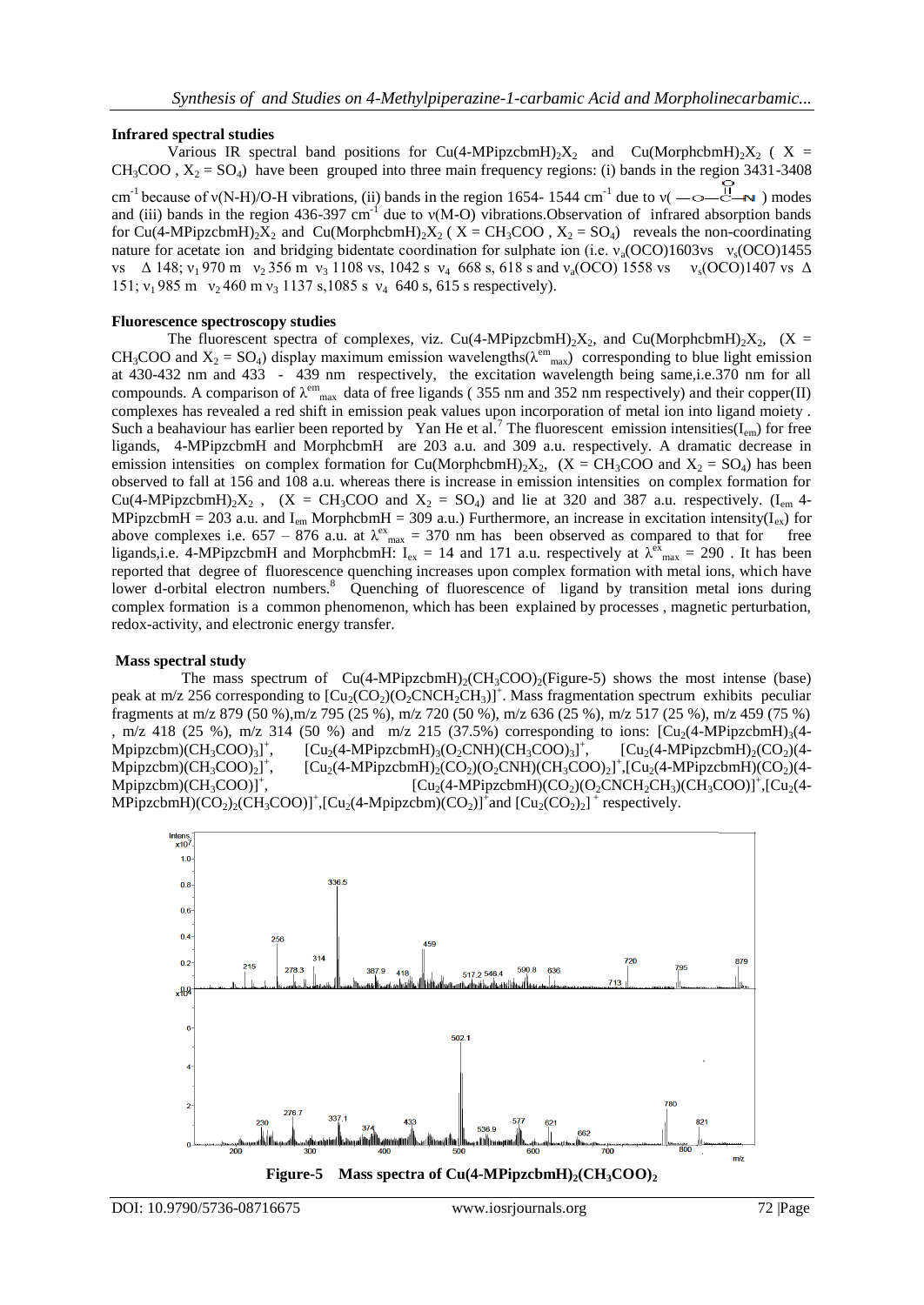# **Infrared spectral studies**

Various IR spectral band positions for Cu(4-MPipzcbmH)<sub>2</sub>X<sub>2</sub> and Cu(MorphcbmH)<sub>2</sub>X<sub>2</sub> (X =  $CH_3COO$ ,  $X_2 = SO_4$ ) have been grouped into three main frequency regions: (i) bands in the region 3431-3408 cm<sup>-1</sup> because of v(N-H)/O-H vibrations, (ii) bands in the region 1654- 1544 cm<sup>-1</sup> due to v( $\sim$ - $\overline{d}$   $\overline{d}$   $\overline{d}$  ) modes and (iii) bands in the region 436-397 cm<sup>-1</sup> due to  $v(M-O)$  vibrations. Observation of infrared absorption bands for Cu(4-MPipzcbmH)<sub>2</sub>X<sub>2</sub> and Cu(MorphcbmH)<sub>2</sub>X<sub>2</sub> (X = CH<sub>3</sub>COO, X<sub>2</sub> = SO<sub>4</sub>) reveals the non-coordinating nature for acetate ion and bridging bidentate coordination for sulphate ion (i.e.  $v_a (OCO)1603v_s v_s (OCO)1455$ vs  $\Delta$  148;  $v_1$  970 m  $v_2$  356 m  $v_3$  1108 vs, 1042 s  $v_4$  668 s, 618 s and  $v_3$  (OCO) 1558 vs  $v_3$  (OCO)1407 vs  $\Delta$ 151;  $v_1$  985 m  $v_2$  460 m  $v_3$  1137 s, 1085 s  $v_4$  640 s, 615 s respectively).

### **Fluorescence spectroscopy studies**

The fluorescent spectra of complexes, viz. Cu(4-MPipzcbmH)<sub>2</sub>X<sub>2</sub>, and Cu(MorphcbmH)<sub>2</sub>X<sub>2</sub>, (X = CH<sub>3</sub>COO and  $X_2 = SO_4$ ) display maximum emission wavelengths( $\lambda^{em}$ <sub>max</sub>) corresponding to blue light emission at 430-432 nm and 433 - 439 nm respectively, the excitation wavelength being same,i.e.370 nm for all compounds. A comparison of  $\lambda^{em}$ <sub>max</sub> data of free ligands (355 nm and 352 nm respectively) and their copper(II) complexes has revealed a red shift in emission peak values upon incorporation of metal ion into ligand moiety . Such a beahaviour has earlier been reported by Yan He et al.<sup>7</sup> The fluorescent emission intensities( $I_{em}$ ) for free ligands, 4-MPipzcbmH and MorphcbmH are 203 a.u. and 309 a.u. respectively. A dramatic decrease in emission intensities on complex formation for Cu(MorphcbmH)<sub>2</sub>X<sub>2</sub>, (X = CH<sub>3</sub>COO and X<sub>2</sub> = SO<sub>4</sub>) has been observed to fall at 156 and 108 a.u. whereas there is increase in emission intensities on complex formation for Cu(4-MPipzcbmH)<sub>2</sub>X<sub>2</sub>, (X = CH<sub>3</sub>COO and X<sub>2</sub> = SO<sub>4</sub>) and lie at 320 and 387 a.u. respectively. (I<sub>em</sub> 4-MPipzcbmH = 203 a.u. and  $I_{em}$  MorphcbmH = 309 a.u.) Furthermore, an increase in excitation intensity( $I_{ex}$ ) for above complexes i.e. 657 – 876 a.u. at  $\lambda^{ex}$ <sub>max</sub> = 370 nm has been observed as compared to that for free ligands, i.e. 4-MPipzcbmH and MorphcbmH:  $I_{ex} = 14$  and 171 a.u. respectively at  $\lambda^{ex}$ <sub>max</sub> = 290. It has been reported that degree of fluorescence quenching increases upon complex formation with metal ions, which have lower d-orbital electron numbers.<sup>8</sup> Quenching of fluorescence of ligand by transition metal ions during complex formation is a common phenomenon, which has been explained by processes , magnetic perturbation, redox-activity, and electronic energy transfer.

# **Mass spectral study**

The mass spectrum of  $Cu(4-MPipzcbmH)_{2}(CH_{3}COO)_{2}(Figure-5)$  shows the most intense (base) peak at m/z 256 corresponding to  $\text{[Cu}_2(\text{CO}_2)(\text{O}_2\text{CNCH}_2\text{CH}_3)^+$ . Mass fragmentation spectrum exhibits peculiar fragments at m/z 879 (50 %),m/z 795 (25 %), m/z 720 (50 %), m/z 636 (25 %), m/z 517 (25 %), m/z 459 (75 %) , m/z 418 (25 %), m/z 314 (50 %) and m/z 215 (37.5%) corresponding to ions:  $[Cu<sub>2</sub>(4-MPipzcbmH)<sub>3</sub>(4-1)$ Mpipzcbm)(CH<sub>3</sub>COO)<sub>3</sub>]<sup>+</sup>  $\text{[Cu}_2(4\text{-}MPipzcbmH)_3(O_2CNH)(CH_3COO)_3]^+$  $\left[\text{Cu}_2(4\text{-MPipzcbmH})_2(\text{CO}_2)(4\text{-}$  $M$ pipzcbm)(CH<sub>3</sub>COO)<sub>2</sub>]<sup>+</sup>  $\text{[Cu}_2(4\text{-}MPipzcbmH)_2(CO_2)(O_2CNH)(CH_3COO)_2]^+$ ,  $\text{[Cu}_2(4\text{-}MPipzcbmH)(CO_2)(4\text{-}PipzcbmH)]$ Mpipzcbm) $(CH_3COO)$ <sup>+</sup>,  $[Cu_2(4-MPipzcbmH)(CO_2)(O_2CNCH_2CH_3)(CH_3COO)]^+$ ,  $[Cu_2(4-MPipzcbmH)(CO_2)(O_2CNCH_2CH_3)(CH_3COO)]^+$ MPipzcbmH)(CO<sub>2</sub>)<sub>2</sub>(CH<sub>3</sub>COO)]<sup>+</sup>,[Cu<sub>2</sub>(4-Mpipzcbm)(CO<sub>2</sub>)]<sup>+</sup>and [Cu<sub>2</sub>(CO<sub>2</sub>)<sub>2</sub>]<sup>+</sup> respectively.

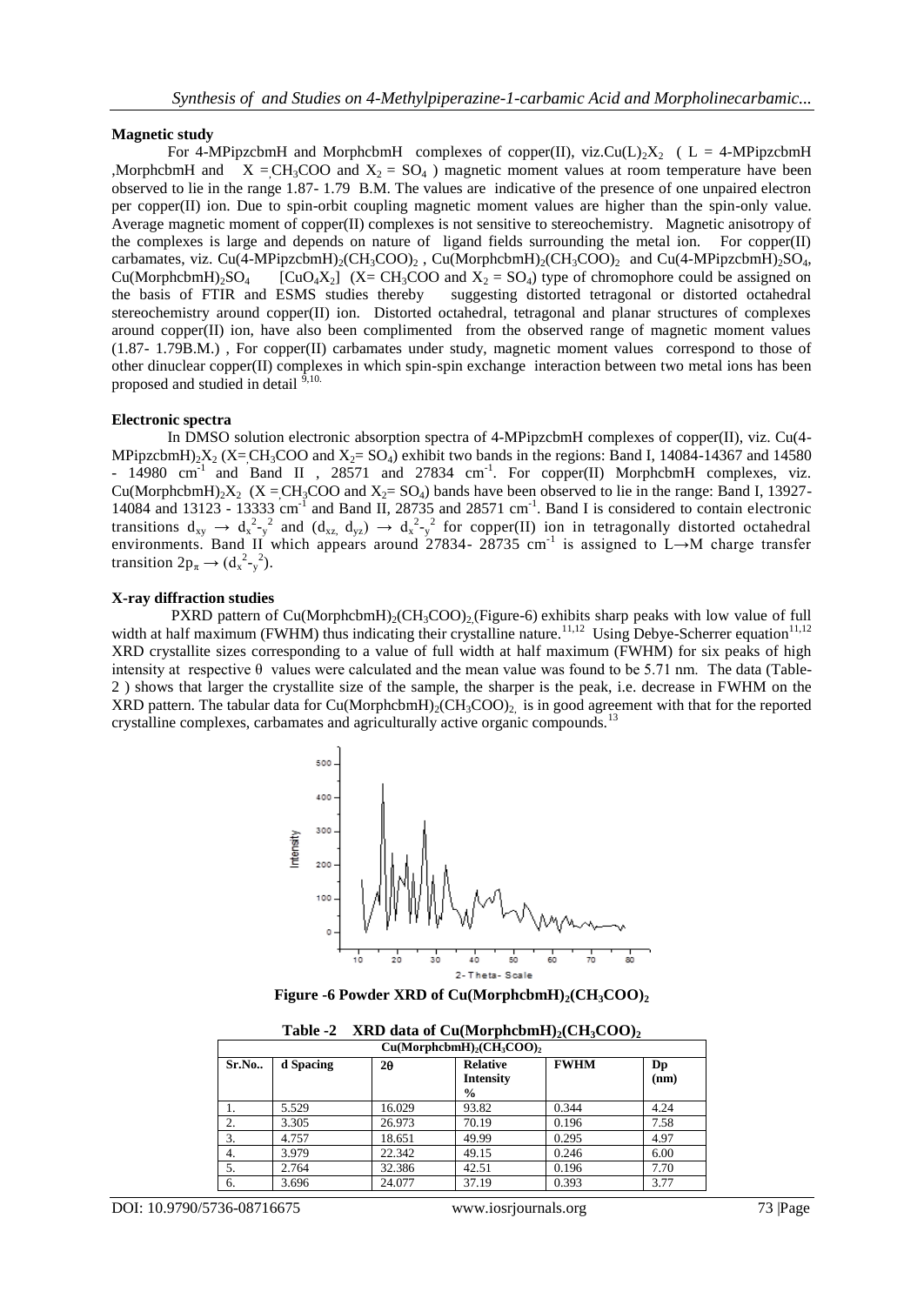#### **Magnetic study**

For 4-MPipzcbmH and MorphcbmH complexes of copper(II), viz.Cu(L)<sub>2</sub>X<sub>2</sub> ( L = 4-MPipzcbmH ,MorphcbmH and  $X = CH_3COO$  and  $X_2 = SO_4$  ) magnetic moment values at room temperature have been observed to lie in the range 1.87- 1.79 B.M. The values are indicative of the presence of one unpaired electron per copper(II) ion. Due to spin-orbit coupling magnetic moment values are higher than the spin-only value. Average magnetic moment of copper(II) complexes is not sensitive to stereochemistry. Magnetic anisotropy of the complexes is large and depends on nature of ligand fields surrounding the metal ion. For copper(II) carbamates, viz. Cu(4-MPipzcbmH)<sub>2</sub>(CH<sub>3</sub>COO)<sub>2</sub>, Cu(MorphcbmH)<sub>2</sub>(CH<sub>3</sub>COO)<sub>2</sub> and Cu(4-MPipzcbmH)<sub>2</sub>SO<sub>4</sub>, Cu(MorphcbmH)<sub>2</sub>SO<sub>4</sub> [CuO<sub>4</sub>X<sub>2</sub>] (X= CH<sub>3</sub>COO and X<sub>2</sub> = SO<sub>4</sub>) type of chromophore could be assigned on the basis of FTIR and ESMS studies thereby suggesting distorted tetragonal or distorted octahedral suggesting distorted tetragonal or distorted octahedral stereochemistry around copper(II) ion. Distorted octahedral, tetragonal and planar structures of complexes around copper(II) ion, have also been complimented from the observed range of magnetic moment values (1.87- 1.79B.M.) , For copper(II) carbamates under study, magnetic moment values correspond to those of other dinuclear copper(II) complexes in which spin-spin exchange interaction between two metal ions has been proposed and studied in detail  $^{9,10}$ .

#### **Electronic spectra**

In DMSO solution electronic absorption spectra of 4-MPipzcbmH complexes of copper(II), viz. Cu(4- MPipzcbmH)<sub>2</sub>X<sub>2</sub> (X=CH<sub>3</sub>COO and X<sub>2</sub>= SO<sub>4</sub>) exhibit two bands in the regions: Band I, 14084-14367 and 14580  $-$  14980 cm<sup>-1</sup> and Band II , 28571 and 27834 cm<sup>-1</sup>. For copper(II) MorphcbmH complexes, viz. Cu(MorphcbmH)<sub>2</sub>X<sub>2</sub> (X = CH<sub>3</sub>COO and X<sub>2</sub>= SO<sub>4</sub>) bands have been observed to lie in the range: Band I, 13927-14084 and 13123 - 13333  $cm^{-1}$  and Band II, 28735 and 28571  $cm^{-1}$ . Band I is considered to contain electronic transitions  $d_{xy} \to d_x^2 - y^2$  and  $(d_{xz}, d_{yz}) \to d_x^2 - y^2$  for copper(II) ion in tetragonally distorted octahedral environments. Band II which appears around 27834- 28735 cm<sup>-1</sup> is assigned to L→M charge transfer transition  $2p_{\pi} \rightarrow (d_{x}^{2}-g_{y}^{2})$ .

#### **X-ray diffraction studies**

PXRD pattern of  $Cu(MorphcbmH)<sub>2</sub>(CH<sub>3</sub>COO)<sub>2</sub>(Figure-6) exhibits sharp peaks with low value of full$ width at half maximum (FWHM) thus indicating their crystalline nature.<sup>11,12</sup> Using Debye-Scherrer equation<sup>11,12</sup> XRD crystallite sizes corresponding to a value of full width at half maximum (FWHM) for six peaks of high intensity at respective  $\theta$  values were calculated and the mean value was found to be 5.71 nm. The data (Table-2 ) shows that larger the crystallite size of the sample, the sharper is the peak, i.e. decrease in FWHM on the XRD pattern. The tabular data for Cu(MorphcbmH)<sub>2</sub>(CH<sub>3</sub>COO)<sub>2</sub> is in good agreement with that for the reported crystalline complexes, carbamates and agriculturally active organic compounds.<sup>13</sup>



**Figure -6 Powder XRD of Cu(MorphcbmH)** $2$ **(CH** $3$ **COO)** $2$ 

| <b>Table -2</b> ARD data of Cu(MorphebmH) <sub>2</sub> (CH <sub>3</sub> COO) <sub>2</sub> |           |           |                                                      |             |            |  |  |  |  |  |
|-------------------------------------------------------------------------------------------|-----------|-----------|------------------------------------------------------|-------------|------------|--|--|--|--|--|
| $Cu(MorphcbmH)2(CH3COO)2$                                                                 |           |           |                                                      |             |            |  |  |  |  |  |
| Sr.No                                                                                     | d Spacing | $2\theta$ | <b>Relative</b><br><b>Intensity</b><br>$\frac{0}{0}$ | <b>FWHM</b> | Dp<br>(nm) |  |  |  |  |  |
|                                                                                           | 5.529     | 16.029    | 93.82                                                | 0.344       | 4.24       |  |  |  |  |  |
| 2.                                                                                        | 3.305     | 26.973    | 70.19                                                | 0.196       | 7.58       |  |  |  |  |  |
| 3.                                                                                        | 4.757     | 18.651    | 49.99                                                | 0.295       | 4.97       |  |  |  |  |  |
| 4.                                                                                        | 3.979     | 22.342    | 49.15                                                | 0.246       | 6.00       |  |  |  |  |  |
| 5.                                                                                        | 2.764     | 32.386    | 42.51                                                | 0.196       | 7.70       |  |  |  |  |  |

6. 3.696 24.077 37.19 0.393 3.77

**Table -2 XRD data of Cu(MorphcbmH)2(CH3COO)<sup>2</sup>**

DOI: 10.9790/5736-08716675 www.iosrjournals.org 73 |Page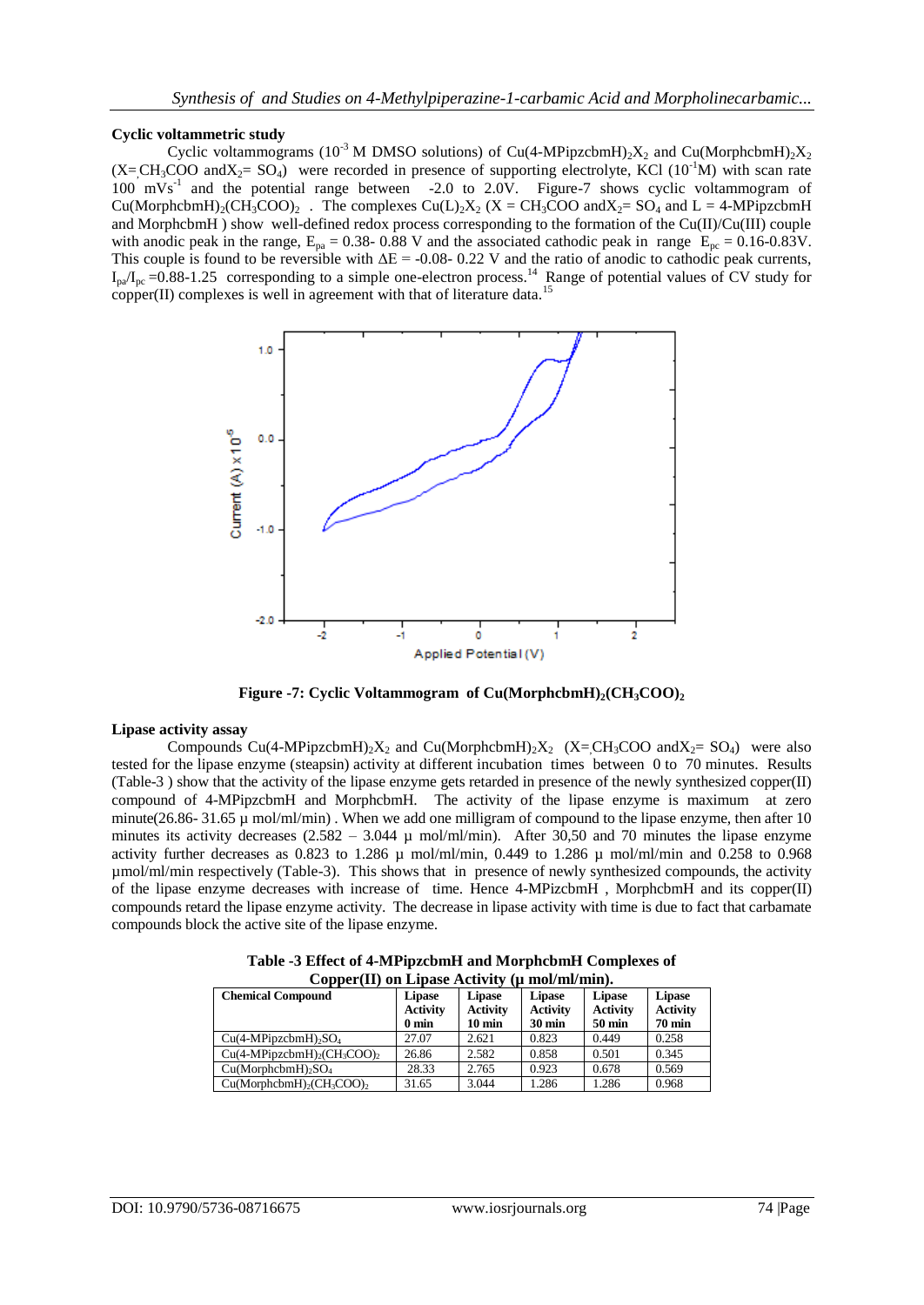# **Cyclic voltammetric study**

Cyclic voltammograms (10<sup>-3</sup> M DMSO solutions) of Cu(4-MPipzcbmH)<sub>2</sub>X<sub>2</sub> and Cu(MorphcbmH)<sub>2</sub>X<sub>2</sub>  $(X=CH_3COO$  and  $X_2=SO_4$ ) were recorded in presence of supporting electrolyte, KCl (10<sup>-1</sup>M) with scan rate 100 mVs<sup>-1</sup> and the potential range between -2.0 to 2.0V. Figure-7 shows cyclic voltammogram of Cu(MorphcbmH)<sub>2</sub>(CH<sub>3</sub>COO)<sub>2</sub>. The complexes Cu(L)<sub>2</sub>X<sub>2</sub> (X = CH<sub>3</sub>COO andX<sub>2</sub>= SO<sub>4</sub> and L = 4-MPipzcbmH and MorphcbmH ) show well-defined redox process corresponding to the formation of the Cu(II)/Cu(III) couple with anodic peak in the range,  $E_{pa} = 0.38 - 0.88$  V and the associated cathodic peak in range  $E_{pc} = 0.16 - 0.83$ V. This couple is found to be reversible with  $\Delta E = -0.08 - 0.22$  V and the ratio of anodic to cathodic peak currents,  $I_{pa}/I_{pc}$  =0.88-1.25 corresponding to a simple one-electron process.<sup>14</sup> Range of potential values of CV study for copper(II) complexes is well in agreement with that of literature data.<sup>15</sup>



**Figure -7: Cyclic Voltammogram of Cu(MorphcbmH)2(CH3COO)<sup>2</sup>**

### **Lipase activity assay**

Compounds Cu(4-MPipzcbmH)<sub>2</sub>X<sub>2</sub> and Cu(MorphcbmH)<sub>2</sub>X<sub>2</sub> (X=CH<sub>3</sub>COO andX<sub>2</sub>= SO<sub>4</sub>) were also tested for the lipase enzyme (steapsin) activity at different incubation times between 0 to 70 minutes. Results (Table-3 ) show that the activity of the lipase enzyme gets retarded in presence of the newly synthesized copper(II) compound of 4-MPipzcbmH and MorphcbmH. The activity of the lipase enzyme is maximum at zero minute(26.86- 31.65  $\mu$  mol/ml/min). When we add one milligram of compound to the lipase enzyme, then after 10 minutes its activity decreases  $(2.582 - 3.044 \mu \text{ mol/ml/min})$ . After 30,50 and 70 minutes the lipase enzyme activity further decreases as 0.823 to 1.286  $\mu$  mol/ml/min, 0.449 to 1.286  $\mu$  mol/ml/min and 0.258 to 0.968 µmol/ml/min respectively (Table-3). This shows that in presence of newly synthesized compounds, the activity of the lipase enzyme decreases with increase of time. Hence 4-MPizcbmH , MorphcbmH and its copper(II) compounds retard the lipase enzyme activity. The decrease in lipase activity with time is due to fact that carbamate compounds block the active site of the lipase enzyme.

| Copper(II) on Lipase Activity (µ mol/ml/min).            |                           |                           |                                  |                           |                                  |  |  |
|----------------------------------------------------------|---------------------------|---------------------------|----------------------------------|---------------------------|----------------------------------|--|--|
| <b>Chemical Compound</b>                                 | Lipase<br><b>Activity</b> | Lipase<br><b>Activity</b> | <b>Lipase</b><br><b>Activity</b> | Lipase<br><b>Activity</b> | <b>Lipase</b><br><b>Activity</b> |  |  |
|                                                          | $0 \text{ min}$           | $10 \text{ min}$          | <b>30 min</b>                    | <b>50 min</b>             | <b>70 min</b>                    |  |  |
| $Cu(4-MPipzcbmH)_{2}SO_{4}$                              | 27.07                     | 2.621                     | 0.823                            | 0.449                     | 0.258                            |  |  |
| $Cu(4-MPipzcbmH)$ <sub>2</sub> ( $CH3COO$ ) <sub>2</sub> | 26.86                     | 2.582                     | 0.858                            | 0.501                     | 0.345                            |  |  |
| $Cu(MorphcbmH)2SO4$                                      | 28.33                     | 2.765                     | 0.923                            | 0.678                     | 0.569                            |  |  |
| $Cu(MorphcbmH)_{2}(CH_{3}COO)_{2}$                       | 31.65                     | 3.044                     | 1.286                            | 1.286                     | 0.968                            |  |  |

**Table -3 Effect of 4-MPipzcbmH and MorphcbmH Complexes of Copper(II) on Lipase Activity (µ mol/ml/min).**